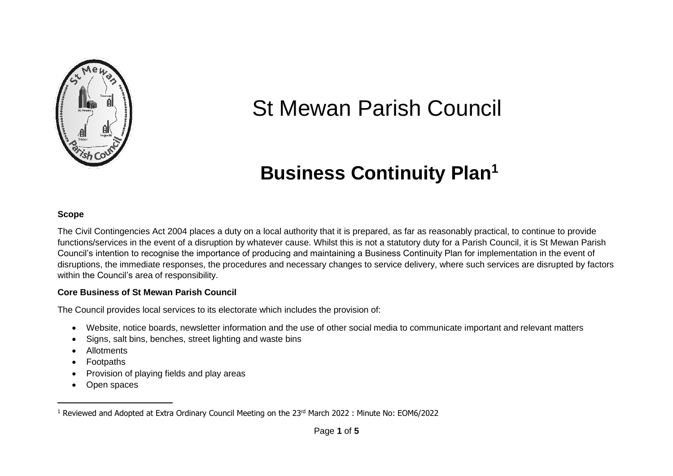

# St Mewan Parish Council

# **Business Continuity Plan<sup>1</sup>**

#### **Scope**

The Civil Contingencies Act 2004 places a duty on a local authority that it is prepared, as far as reasonably practical, to continue to provide functions/services in the event of a disruption by whatever cause. Whilst this is not a statutory duty for a Parish Council, it is St Mewan Parish Council's intention to recognise the importance of producing and maintaining a Business Continuity Plan for implementation in the event of disruptions, the immediate responses, the procedures and necessary changes to service delivery, where such services are disrupted by factors within the Council's area of responsibility.

#### **Core Business of St Mewan Parish Council**

The Council provides local services to its electorate which includes the provision of:

- Website, notice boards, newsletter information and the use of other social media to communicate important and relevant matters
- Signs, salt bins, benches, street lighting and waste bins
- Allotments
- Footpaths
- Provision of playing fields and play areas
- Open spaces

<sup>1</sup> Reviewed and Adopted at Extra Ordinary Council Meeting on the 23rd March 2022 : Minute No: EOM6/2022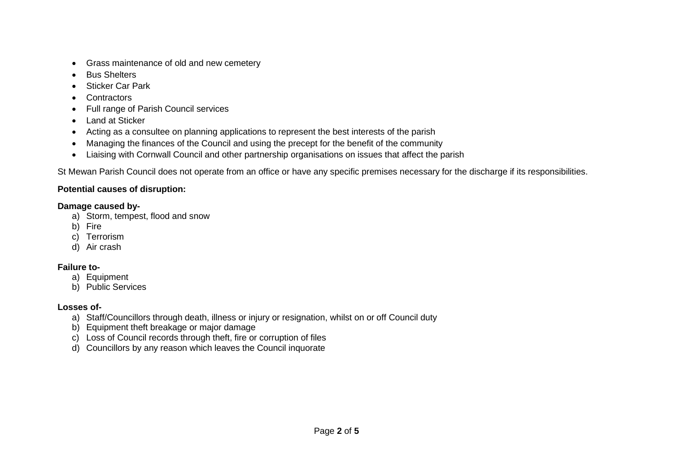- Grass maintenance of old and new cemetery
- Bus Shelters
- Sticker Car Park
- Contractors
- Full range of Parish Council services
- Land at Sticker
- Acting as a consultee on planning applications to represent the best interests of the parish
- Managing the finances of the Council and using the precept for the benefit of the community
- Liaising with Cornwall Council and other partnership organisations on issues that affect the parish

St Mewan Parish Council does not operate from an office or have any specific premises necessary for the discharge if its responsibilities.

#### **Potential causes of disruption:**

#### **Damage caused by-**

- a) Storm, tempest, flood and snow
- b) Fire
- c) Terrorism
- d) Air crash

## **Failure to-**

- a) Equipment
- b) Public Services

## **Losses of-**

- a) Staff/Councillors through death, illness or injury or resignation, whilst on or off Council duty
- b) Equipment theft breakage or major damage
- c) Loss of Council records through theft, fire or corruption of files
- d) Councillors by any reason which leaves the Council inquorate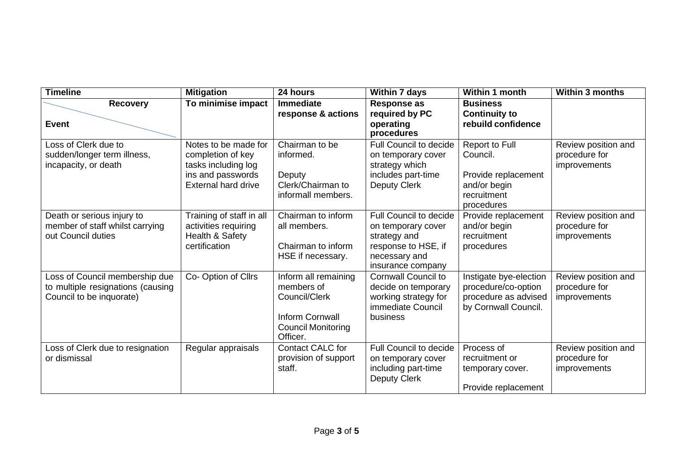| <b>Timeline</b>                                                                                 | <b>Mitigation</b>                                                                                                   | 24 hours                                                                                                               | Within 7 days                                                                                                             | Within 1 month                                                                                 | <b>Within 3 months</b>                               |
|-------------------------------------------------------------------------------------------------|---------------------------------------------------------------------------------------------------------------------|------------------------------------------------------------------------------------------------------------------------|---------------------------------------------------------------------------------------------------------------------------|------------------------------------------------------------------------------------------------|------------------------------------------------------|
| <b>Recovery</b>                                                                                 | To minimise impact                                                                                                  | <b>Immediate</b><br>response & actions                                                                                 | <b>Response as</b><br>required by PC                                                                                      | <b>Business</b><br><b>Continuity to</b>                                                        |                                                      |
| <b>Event</b>                                                                                    |                                                                                                                     |                                                                                                                        | operating<br>procedures                                                                                                   | rebuild confidence                                                                             |                                                      |
| Loss of Clerk due to<br>sudden/longer term illness,<br>incapacity, or death                     | Notes to be made for<br>completion of key<br>tasks including log<br>ins and passwords<br><b>External hard drive</b> | Chairman to be<br>informed.<br>Deputy<br>Clerk/Chairman to<br>informall members.                                       | Full Council to decide<br>on temporary cover<br>strategy which<br>includes part-time<br>Deputy Clerk                      | Report to Full<br>Council.<br>Provide replacement<br>and/or begin<br>recruitment<br>procedures | Review position and<br>procedure for<br>improvements |
| Death or serious injury to<br>member of staff whilst carrying<br>out Council duties             | Training of staff in all<br>activities requiring<br>Health & Safety<br>certification                                | Chairman to inform<br>all members.<br>Chairman to inform<br>HSE if necessary.                                          | Full Council to decide<br>on temporary cover<br>strategy and<br>response to HSE, if<br>necessary and<br>insurance company | Provide replacement<br>and/or begin<br>recruitment<br>procedures                               | Review position and<br>procedure for<br>improvements |
| Loss of Council membership due<br>to multiple resignations (causing<br>Council to be inquorate) | Co-Option of Cllrs                                                                                                  | Inform all remaining<br>members of<br>Council/Clerk<br><b>Inform Cornwall</b><br><b>Council Monitoring</b><br>Officer. | <b>Cornwall Council to</b><br>decide on temporary<br>working strategy for<br>immediate Council<br>business                | Instigate bye-election<br>procedure/co-option<br>procedure as advised<br>by Cornwall Council.  | Review position and<br>procedure for<br>improvements |
| Loss of Clerk due to resignation<br>or dismissal                                                | Regular appraisals                                                                                                  | Contact CALC for<br>provision of support<br>staff.                                                                     | Full Council to decide<br>on temporary cover<br>including part-time<br>Deputy Clerk                                       | Process of<br>recruitment or<br>temporary cover.<br>Provide replacement                        | Review position and<br>procedure for<br>improvements |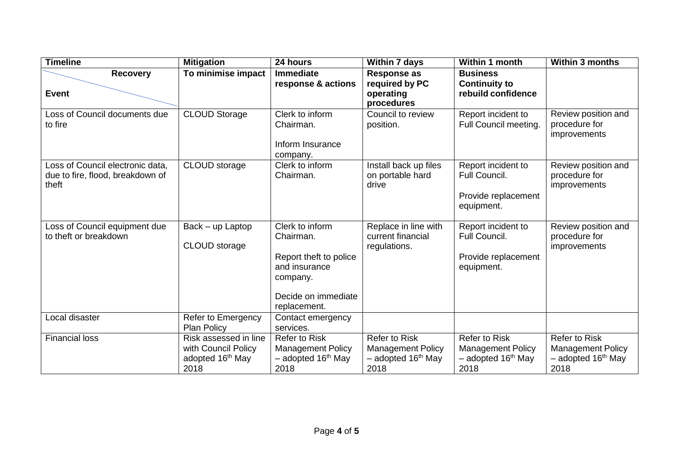| <b>Timeline</b>                                                               | <b>Mitigation</b>                                                                    | 24 hours                                                                                                                   | <b>Within 7 days</b>                                                                         | Within 1 month                                                                             | <b>Within 3 months</b>                                                                     |
|-------------------------------------------------------------------------------|--------------------------------------------------------------------------------------|----------------------------------------------------------------------------------------------------------------------------|----------------------------------------------------------------------------------------------|--------------------------------------------------------------------------------------------|--------------------------------------------------------------------------------------------|
| <b>Recovery</b><br><b>Event</b>                                               | To minimise impact                                                                   | <b>Immediate</b><br>response & actions                                                                                     | <b>Response as</b><br>required by PC<br>operating<br>procedures                              | <b>Business</b><br><b>Continuity to</b><br>rebuild confidence                              |                                                                                            |
| Loss of Council documents due<br>to fire                                      | <b>CLOUD Storage</b>                                                                 | Clerk to inform<br>Chairman.<br>Inform Insurance<br>company.                                                               | Council to review<br>position.                                                               | Report incident to<br>Full Council meeting.                                                | Review position and<br>procedure for<br>improvements                                       |
| Loss of Council electronic data,<br>due to fire, flood, breakdown of<br>theft | CLOUD storage                                                                        | Clerk to inform<br>Chairman.                                                                                               | Install back up files<br>on portable hard<br>drive                                           | Report incident to<br>Full Council.<br>Provide replacement<br>equipment.                   | Review position and<br>procedure for<br>improvements                                       |
| Loss of Council equipment due<br>to theft or breakdown                        | $Back - up$ Laptop<br><b>CLOUD</b> storage                                           | Clerk to inform<br>Chairman.<br>Report theft to police<br>and insurance<br>company.<br>Decide on immediate<br>replacement. | Replace in line with<br>current financial<br>regulations.                                    | Report incident to<br>Full Council.<br>Provide replacement<br>equipment.                   | Review position and<br>procedure for<br>improvements                                       |
| Local disaster                                                                | Refer to Emergency<br><b>Plan Policy</b>                                             | Contact emergency<br>services.                                                                                             |                                                                                              |                                                                                            |                                                                                            |
| <b>Financial loss</b>                                                         | Risk assessed in line<br>with Council Policy<br>adopted 16 <sup>th</sup> May<br>2018 | <b>Refer to Risk</b><br><b>Management Policy</b><br>$-$ adopted 16 <sup>th</sup> May<br>2018                               | <b>Refer to Risk</b><br><b>Management Policy</b><br>$-$ adopted 16 <sup>th</sup> May<br>2018 | <b>Refer to Risk</b><br><b>Management Policy</b><br>- adopted 16 <sup>th</sup> May<br>2018 | <b>Refer to Risk</b><br><b>Management Policy</b><br>- adopted 16 <sup>th</sup> May<br>2018 |